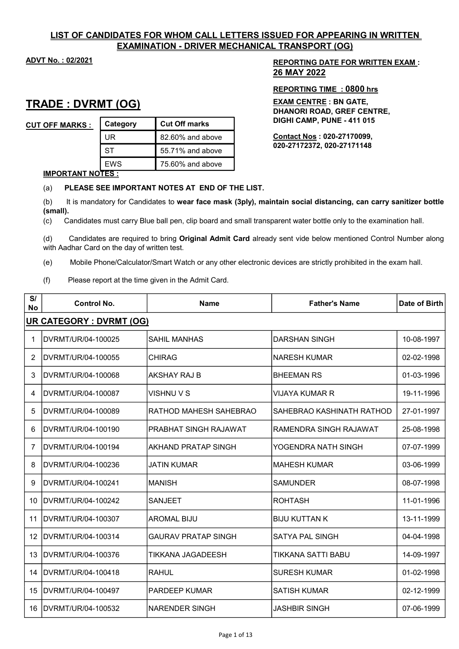# LIST OF CANDIDATES FOR WHOM CALL LETTERS ISSUED FOR APPEARING IN WRITTEN EXAMINATION - DRIVER MECHANICAL TRANSPORT (OG)

# TRADE : DVRMT (OG)

| <b>CUT OFF MARKS:</b> | Category | <b>Cut Off marks</b> | <b>DIGHI CAMP, PUNE - 411 015</b> |
|-----------------------|----------|----------------------|-----------------------------------|
|                       | UR       | 82.60% and above     | <b>Contact Nos: 020-27170099,</b> |
|                       | SТ       | 55.71% and above     | 020-27172372, 020-27171148        |
|                       | EWS      | 75.60% and above     |                                   |

# ADVT No. : 02/2021 2002 12:00 REPORTING DATE FOR WRITTEN EXAM : 26 MAY 2022

### REPORTING TIME : 0800 hrs

EXAM CENTRE : BN GATE, DHANORI ROAD, GREF CENTRE, DIGHI CAMP, PUNE - 411 015

#### IMPORTANT NOTES :

### (a) PLEASE SEE IMPORTANT NOTES AT END OF THE LIST.

(b) It is mandatory for Candidates to wear face mask (3ply), maintain social distancing, can carry sanitizer bottle (small).

(c) Candidates must carry Blue ball pen, clip board and small transparent water bottle only to the examination hall.

(d) Candidates are required to bring Original Admit Card already sent vide below mentioned Control Number along with Aadhar Card on the day of written test.

(e) Mobile Phone/Calculator/Smart Watch or any other electronic devices are strictly prohibited in the exam hall.

(f) Please report at the time given in the Admit Card.

| S/<br><b>No</b> | Control No.                     | <b>Name</b>                | <b>Father's Name</b>      | Date of Birth |  |
|-----------------|---------------------------------|----------------------------|---------------------------|---------------|--|
|                 | <b>UR CATEGORY : DVRMT (OG)</b> |                            |                           |               |  |
| 1               | DVRMT/UR/04-100025              | <b>SAHIL MANHAS</b>        | <b>DARSHAN SINGH</b>      | 10-08-1997    |  |
| 2               | IDVRMT/UR/04-100055             | <b>CHIRAG</b>              | <b>NARESH KUMAR</b>       | 02-02-1998    |  |
| 3               | DVRMT/UR/04-100068              | AKSHAY RAJ B               | <b>BHEEMAN RS</b>         | 01-03-1996    |  |
| 4               | DVRMT/UR/04-100087              | VISHNU V S                 | VIJAYA KUMAR R            | 19-11-1996    |  |
| 5               | IDVRMT/UR/04-100089             | RATHOD MAHESH SAHEBRAO     | SAHEBRAO KASHINATH RATHOD | 27-01-1997    |  |
| 6               | DVRMT/UR/04-100190              | PRABHAT SINGH RAJAWAT      | RAMENDRA SINGH RAJAWAT    | 25-08-1998    |  |
| 7               | IDVRMT/UR/04-100194             | AKHAND PRATAP SINGH        | YOGENDRA NATH SINGH       | 07-07-1999    |  |
| 8               | DVRMT/UR/04-100236              | JATIN KUMAR                | <b>MAHESH KUMAR</b>       | 03-06-1999    |  |
| 9               | DVRMT/UR/04-100241              | <b>MANISH</b>              | <b>SAMUNDER</b>           | 08-07-1998    |  |
| 10              | IDVRMT/UR/04-100242             | <b>SANJEET</b>             | <b>ROHTASH</b>            | 11-01-1996    |  |
| 11              | IDVRMT/UR/04-100307             | <b>AROMAL BIJU</b>         | <b>BIJU KUTTAN K</b>      | 13-11-1999    |  |
|                 | 12   DVRMT/UR/04-100314         | <b>GAURAV PRATAP SINGH</b> | <b>SATYA PAL SINGH</b>    | 04-04-1998    |  |
| 13              | IDVRMT/UR/04-100376             | TIKKANA JAGADEESH          | TIKKANA SATTI BABU        | 14-09-1997    |  |
| 14              | IDVRMT/UR/04-100418             | RAHUL                      | <b>SURESH KUMAR</b>       | 01-02-1998    |  |
|                 | 15   DVRMT/UR/04-100497         | PARDEEP KUMAR              | <b>SATISH KUMAR</b>       | 02-12-1999    |  |
|                 | 16 IDVRMT/UR/04-100532          | NARENDER SINGH             | JASHBIR SINGH             | 07-06-1999    |  |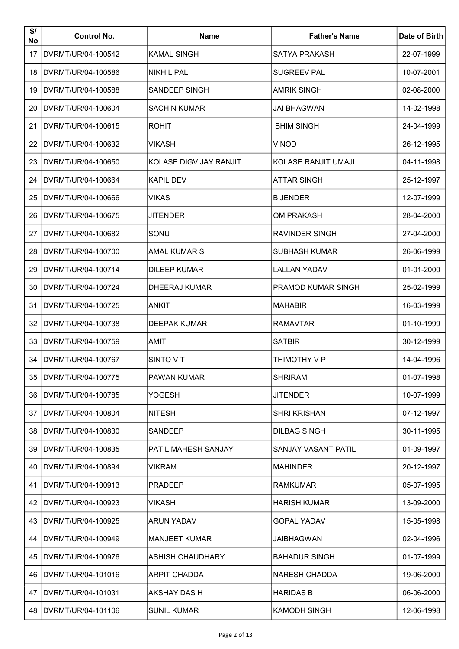| S/<br>No | <b>Control No.</b>  | <b>Name</b>            | <b>Father's Name</b>      | Date of Birth |
|----------|---------------------|------------------------|---------------------------|---------------|
| 17       | DVRMT/UR/04-100542  | <b>KAMAL SINGH</b>     | <b>SATYA PRAKASH</b>      | 22-07-1999    |
| 18       | IDVRMT/UR/04-100586 | <b>NIKHIL PAL</b>      | <b>SUGREEV PAL</b>        | 10-07-2001    |
| 19       | DVRMT/UR/04-100588  | <b>SANDEEP SINGH</b>   | <b>AMRIK SINGH</b>        | 02-08-2000    |
| 20       | DVRMT/UR/04-100604  | <b>SACHIN KUMAR</b>    | <b>JAI BHAGWAN</b>        | 14-02-1998    |
| 21       | IDVRMT/UR/04-100615 | <b>ROHIT</b>           | <b>BHIM SINGH</b>         | 24-04-1999    |
| 22       | DVRMT/UR/04-100632  | <b>VIKASH</b>          | <b>VINOD</b>              | 26-12-1995    |
| 23       | IDVRMT/UR/04-100650 | KOLASE DIGVIJAY RANJIT | KOLASE RANJIT UMAJI       | 04-11-1998    |
| 24       | IDVRMT/UR/04-100664 | <b>KAPIL DEV</b>       | <b>ATTAR SINGH</b>        | 25-12-1997    |
| 25       | IDVRMT/UR/04-100666 | <b>VIKAS</b>           | <b>BIJENDER</b>           | 12-07-1999    |
| 26       | IDVRMT/UR/04-100675 | <b>JITENDER</b>        | <b>OM PRAKASH</b>         | 28-04-2000    |
| 27       | IDVRMT/UR/04-100682 | SONU                   | <b>RAVINDER SINGH</b>     | 27-04-2000    |
| 28       | IDVRMT/UR/04-100700 | <b>AMAL KUMAR S</b>    | <b>SUBHASH KUMAR</b>      | 26-06-1999    |
| 29       | IDVRMT/UR/04-100714 | <b>DILEEP KUMAR</b>    | <b>LALLAN YADAV</b>       | 01-01-2000    |
| 30       | IDVRMT/UR/04-100724 | DHEERAJ KUMAR          | <b>PRAMOD KUMAR SINGH</b> | 25-02-1999    |
| 31       | DVRMT/UR/04-100725  | ANKIT                  | <b>MAHABIR</b>            | 16-03-1999    |
| 32       | DVRMT/UR/04-100738  | <b>DEEPAK KUMAR</b>    | <b>RAMAVTAR</b>           | 01-10-1999    |
| 33       | DVRMT/UR/04-100759  | AMIT                   | <b>SATBIR</b>             | 30-12-1999    |
| 34       | DVRMT/UR/04-100767  | SINTO VT               | THIMOTHY V P              | 14-04-1996    |
| 35       | DVRMT/UR/04-100775  | <b>PAWAN KUMAR</b>     | <b>SHRIRAM</b>            | 01-07-1998    |
| 36       | DVRMT/UR/04-100785  | <b>YOGESH</b>          | <b>JITENDER</b>           | 10-07-1999    |
| 37       | DVRMT/UR/04-100804  | <b>NITESH</b>          | <b>SHRI KRISHAN</b>       | 07-12-1997    |
| 38       | IDVRMT/UR/04-100830 | SANDEEP                | <b>DILBAG SINGH</b>       | 30-11-1995    |
| 39       | DVRMT/UR/04-100835  | PATIL MAHESH SANJAY    | SANJAY VASANT PATIL       | 01-09-1997    |
| 40       | IDVRMT/UR/04-100894 | <b>VIKRAM</b>          | <b>MAHINDER</b>           | 20-12-1997    |
| 41       | DVRMT/UR/04-100913  | <b>PRADEEP</b>         | <b>RAMKUMAR</b>           | 05-07-1995    |
| 42       | DVRMT/UR/04-100923  | VIKASH                 | <b>HARISH KUMAR</b>       | 13-09-2000    |
| 43       | IDVRMT/UR/04-100925 | <b>ARUN YADAV</b>      | <b>GOPAL YADAV</b>        | 15-05-1998    |
| 44       | IDVRMT/UR/04-100949 | <b>MANJEET KUMAR</b>   | JAIBHAGWAN                | 02-04-1996    |
| 45       | IDVRMT/UR/04-100976 | ASHISH CHAUDHARY       | <b>BAHADUR SINGH</b>      | 01-07-1999    |
| 46       | IDVRMT/UR/04-101016 | <b>ARPIT CHADDA</b>    | <b>NARESH CHADDA</b>      | 19-06-2000    |
| 47       | DVRMT/UR/04-101031  | AKSHAY DAS H           | <b>HARIDAS B</b>          | 06-06-2000    |
| 48       | DVRMT/UR/04-101106  | <b>SUNIL KUMAR</b>     | <b>KAMODH SINGH</b>       | 12-06-1998    |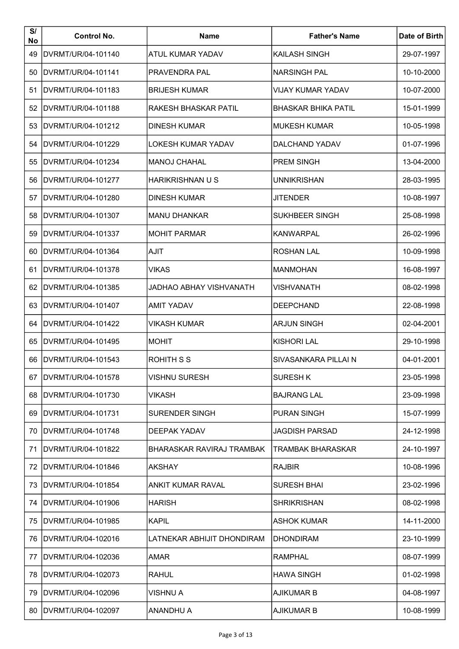| S/<br>No | <b>Control No.</b>  | <b>Name</b>                | <b>Father's Name</b>       | Date of Birth |
|----------|---------------------|----------------------------|----------------------------|---------------|
| 49       | DVRMT/UR/04-101140  | ATUL KUMAR YADAV           | KAILASH SINGH              | 29-07-1997    |
| 50       | DVRMT/UR/04-101141  | PRAVENDRA PAL              | <b>NARSINGH PAL</b>        | 10-10-2000    |
| 51       | DVRMT/UR/04-101183  | <b>BRIJESH KUMAR</b>       | <b>VIJAY KUMAR YADAV</b>   | 10-07-2000    |
| 52       | DVRMT/UR/04-101188  | RAKESH BHASKAR PATIL       | <b>BHASKAR BHIKA PATIL</b> | 15-01-1999    |
| 53       | DVRMT/UR/04-101212  | <b>DINESH KUMAR</b>        | <b>MUKESH KUMAR</b>        | 10-05-1998    |
| 54       | IDVRMT/UR/04-101229 | LOKESH KUMAR YADAV         | DALCHAND YADAV             | 01-07-1996    |
| 55       | IDVRMT/UR/04-101234 | <b>MANOJ CHAHAL</b>        | <b>PREM SINGH</b>          | 13-04-2000    |
| 56       | IDVRMT/UR/04-101277 | <b>HARIKRISHNAN U S</b>    | <b>UNNIKRISHAN</b>         | 28-03-1995    |
| 57       | IDVRMT/UR/04-101280 | DINESH KUMAR               | <b>JITENDER</b>            | 10-08-1997    |
| 58       | DVRMT/UR/04-101307  | <b>MANU DHANKAR</b>        | <b>SUKHBEER SINGH</b>      | 25-08-1998    |
| 59       | IDVRMT/UR/04-101337 | <b>MOHIT PARMAR</b>        | <b>KANWARPAL</b>           | 26-02-1996    |
| 60       | IDVRMT/UR/04-101364 | <b>AJIT</b>                | <b>ROSHAN LAL</b>          | 10-09-1998    |
| 61       | IDVRMT/UR/04-101378 | <b>VIKAS</b>               | <b>MANMOHAN</b>            | 16-08-1997    |
| 62       | IDVRMT/UR/04-101385 | JADHAO ABHAY VISHVANATH    | <b>VISHVANATH</b>          | 08-02-1998    |
| 63       | DVRMT/UR/04-101407  | <b>AMIT YADAV</b>          | <b>DEEPCHAND</b>           | 22-08-1998    |
| 64       | DVRMT/UR/04-101422  | VIKASH KUMAR               | <b>ARJUN SINGH</b>         | 02-04-2001    |
| 65       | DVRMT/UR/04-101495  | <b>MOHIT</b>               | <b>KISHORI LAL</b>         | 29-10-1998    |
| 66       | DVRMT/UR/04-101543  | <b>ROHITH S S</b>          | SIVASANKARA PILLAI N       | 04-01-2001    |
| 67       | DVRMT/UR/04-101578  | <b>VISHNU SURESH</b>       | <b>SURESH K</b>            | 23-05-1998    |
| 68       | DVRMT/UR/04-101730  | VIKASH                     | <b>BAJRANG LAL</b>         | 23-09-1998    |
| 69       | DVRMT/UR/04-101731  | SURENDER SINGH             | <b>PURAN SINGH</b>         | 15-07-1999    |
| 70       | DVRMT/UR/04-101748  | DEEPAK YADAV               | <b>JAGDISH PARSAD</b>      | 24-12-1998    |
| 71       | DVRMT/UR/04-101822  | BHARASKAR RAVIRAJ TRAMBAK  | TRAMBAK BHARASKAR          | 24-10-1997    |
| 72       | DVRMT/UR/04-101846  | <b>AKSHAY</b>              | <b>RAJBIR</b>              | 10-08-1996    |
| 73       | DVRMT/UR/04-101854  | ANKIT KUMAR RAVAL          | <b>SURESH BHAI</b>         | 23-02-1996    |
| 74       | DVRMT/UR/04-101906  | HARISH                     | <b>SHRIKRISHAN</b>         | 08-02-1998    |
| 75       | DVRMT/UR/04-101985  | <b>KAPIL</b>               | <b>ASHOK KUMAR</b>         | 14-11-2000    |
| 76       | DVRMT/UR/04-102016  | LATNEKAR ABHIJIT DHONDIRAM | <b>DHONDIRAM</b>           | 23-10-1999    |
| 77       | DVRMT/UR/04-102036  | <b>AMAR</b>                | <b>RAMPHAL</b>             | 08-07-1999    |
| 78       | DVRMT/UR/04-102073  | <b>RAHUL</b>               | <b>HAWA SINGH</b>          | 01-02-1998    |
| 79       | DVRMT/UR/04-102096  | VISHNU A                   | <b>AJIKUMAR B</b>          | 04-08-1997    |
| 80       | DVRMT/UR/04-102097  | <b>ANANDHU A</b>           | <b>AJIKUMAR B</b>          | 10-08-1999    |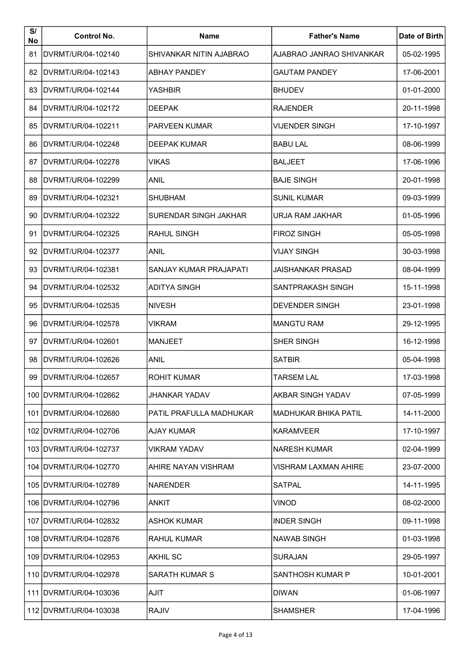| S/<br>No | <b>Control No.</b>       | <b>Name</b>             | <b>Father's Name</b>        | Date of Birth |
|----------|--------------------------|-------------------------|-----------------------------|---------------|
| 81       | DVRMT/UR/04-102140       | SHIVANKAR NITIN AJABRAO | AJABRAO JANRAO SHIVANKAR    | 05-02-1995    |
| 82       | DVRMT/UR/04-102143       | <b>ABHAY PANDEY</b>     | <b>GAUTAM PANDEY</b>        | 17-06-2001    |
| 83       | DVRMT/UR/04-102144       | <b>YASHBIR</b>          | <b>BHUDEV</b>               | 01-01-2000    |
| 84       | DVRMT/UR/04-102172       | <b>DEEPAK</b>           | <b>RAJENDER</b>             | 20-11-1998    |
| 85       | DVRMT/UR/04-102211       | <b>PARVEEN KUMAR</b>    | <b>VIJENDER SINGH</b>       | 17-10-1997    |
| 86       | DVRMT/UR/04-102248       | <b>DEEPAK KUMAR</b>     | <b>BABU LAL</b>             | 08-06-1999    |
| 87       | IDVRMT/UR/04-102278      | <b>VIKAS</b>            | <b>BALJEET</b>              | 17-06-1996    |
| 88       | DVRMT/UR/04-102299       | ANIL                    | <b>BAJE SINGH</b>           | 20-01-1998    |
| 89       | IDVRMT/UR/04-102321      | <b>SHUBHAM</b>          | <b>SUNIL KUMAR</b>          | 09-03-1999    |
| 90       | DVRMT/UR/04-102322       | SURENDAR SINGH JAKHAR   | URJA RAM JAKHAR             | 01-05-1996    |
| 91       | DVRMT/UR/04-102325       | <b>RAHUL SINGH</b>      | <b>FIROZ SINGH</b>          | 05-05-1998    |
| 92       | IDVRMT/UR/04-102377      | <b>ANIL</b>             | <b>VIJAY SINGH</b>          | 30-03-1998    |
| 93       | IDVRMT/UR/04-102381      | SANJAY KUMAR PRAJAPATI  | JAISHANKAR PRASAD           | 08-04-1999    |
| 94       | DVRMT/UR/04-102532       | <b>ADITYA SINGH</b>     | <b>SANTPRAKASH SINGH</b>    | 15-11-1998    |
| 95       | DVRMT/UR/04-102535       | <b>NIVESH</b>           | <b>DEVENDER SINGH</b>       | 23-01-1998    |
| 96       | DVRMT/UR/04-102578       | <b>VIKRAM</b>           | <b>MANGTU RAM</b>           | 29-12-1995    |
| 97       | DVRMT/UR/04-102601       | <b>MANJEET</b>          | <b>SHER SINGH</b>           | 16-12-1998    |
| 98       | DVRMT/UR/04-102626       | <b>ANIL</b>             | <b>SATBIR</b>               | 05-04-1998    |
| 99       | DVRMT/UR/04-102657       | <b>ROHIT KUMAR</b>      | <b>TARSEM LAL</b>           | 17-03-1998    |
|          | 100   DVRMT/UR/04-102662 | <b>JHANKAR YADAV</b>    | <b>AKBAR SINGH YADAV</b>    | 07-05-1999    |
|          | 101   DVRMT/UR/04-102680 | PATIL PRAFULLA MADHUKAR | <b>MADHUKAR BHIKA PATIL</b> | 14-11-2000    |
|          | 102   DVRMT/UR/04-102706 | AJAY KUMAR              | <b>KARAMVEER</b>            | 17-10-1997    |
|          | 103   DVRMT/UR/04-102737 | <b>VIKRAM YADAV</b>     | <b>NARESH KUMAR</b>         | 02-04-1999    |
|          | 104   DVRMT/UR/04-102770 | IAHIRE NAYAN VISHRAM    | VISHRAM LAXMAN AHIRE        | 23-07-2000    |
|          | 105   DVRMT/UR/04-102789 | <b>NARENDER</b>         | <b>SATPAL</b>               | 14-11-1995    |
|          | 106   DVRMT/UR/04-102796 | ANKIT                   | VINOD                       | 08-02-2000    |
|          | 107   DVRMT/UR/04-102832 | ASHOK KUMAR             | <b>INDER SINGH</b>          | 09-11-1998    |
|          | 108   DVRMT/UR/04-102876 | RAHUL KUMAR             | NAWAB SINGH                 | 01-03-1998    |
|          | 109   DVRMT/UR/04-102953 | <b>AKHIL SC</b>         | <b>SURAJAN</b>              | 29-05-1997    |
|          | 110   DVRMT/UR/04-102978 | <b>SARATH KUMAR S</b>   | <b>SANTHOSH KUMAR P</b>     | 10-01-2001    |
|          | 111   DVRMT/UR/04-103036 | <b>AJIT</b>             | <b>DIWAN</b>                | 01-06-1997    |
|          | 112   DVRMT/UR/04-103038 | <b>RAJIV</b>            | <b>SHAMSHER</b>             | 17-04-1996    |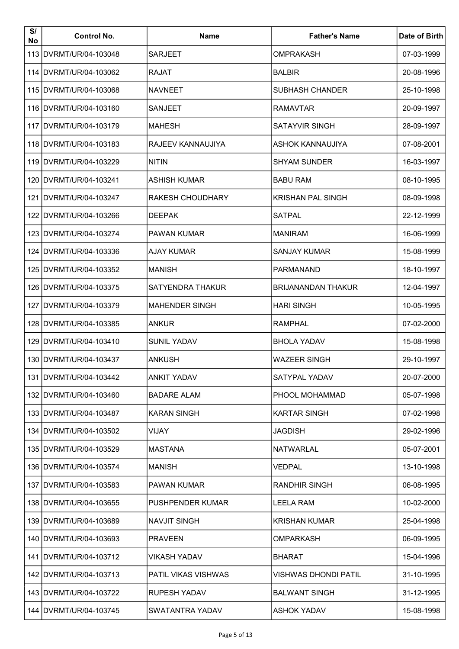| S/<br>No | <b>Control No.</b>       | Name                       | <b>Father's Name</b>        | Date of Birth |
|----------|--------------------------|----------------------------|-----------------------------|---------------|
|          | 113 DVRMT/UR/04-103048   | <b>SARJEET</b>             | <b>OMPRAKASH</b>            | 07-03-1999    |
|          | 114 IDVRMT/UR/04-103062  | <b>RAJAT</b>               | <b>BALBIR</b>               | 20-08-1996    |
|          | 115 DVRMT/UR/04-103068   | <b>NAVNEET</b>             | <b>SUBHASH CHANDER</b>      | 25-10-1998    |
|          | 116 IDVRMT/UR/04-103160  | <b>SANJEET</b>             | <b>RAMAVTAR</b>             | 20-09-1997    |
|          | 117 DVRMT/UR/04-103179   | <b>MAHESH</b>              | <b>SATAYVIR SINGH</b>       | 28-09-1997    |
|          | 118 IDVRMT/UR/04-103183  | <b>RAJEEV KANNAUJIYA</b>   | ASHOK KANNAUJIYA            | 07-08-2001    |
|          | 119 IDVRMT/UR/04-103229  | <b>NITIN</b>               | <b>SHYAM SUNDER</b>         | 16-03-1997    |
|          | 120 IDVRMT/UR/04-103241  | ASHISH KUMAR               | <b>BABU RAM</b>             | 08-10-1995    |
|          | 121 DVRMT/UR/04-103247   | <b>RAKESH CHOUDHARY</b>    | <b>KRISHAN PAL SINGH</b>    | 08-09-1998    |
|          | 122 DVRMT/UR/04-103266   | <b>DEEPAK</b>              | <b>SATPAL</b>               | 22-12-1999    |
|          | 123 DVRMT/UR/04-103274   | <b>PAWAN KUMAR</b>         | <b>MANIRAM</b>              | 16-06-1999    |
|          | 124 IDVRMT/UR/04-103336  | <b>AJAY KUMAR</b>          | <b>SANJAY KUMAR</b>         | 15-08-1999    |
|          | 125 IDVRMT/UR/04-103352  | MANISH                     | <b>PARMANAND</b>            | 18-10-1997    |
|          | 126 IDVRMT/UR/04-103375  | <b>SATYENDRA THAKUR</b>    | <b>BRIJANANDAN THAKUR</b>   | 12-04-1997    |
|          | 127   DVRMT/UR/04-103379 | <b>MAHENDER SINGH</b>      | <b>HARI SINGH</b>           | 10-05-1995    |
|          | 128   DVRMT/UR/04-103385 | <b>ANKUR</b>               | <b>RAMPHAL</b>              | 07-02-2000    |
|          | 129   DVRMT/UR/04-103410 | <b>SUNIL YADAV</b>         | <b>BHOLA YADAV</b>          | 15-08-1998    |
|          | 130 DVRMT/UR/04-103437   | <b>ANKUSH</b>              | <b>WAZEER SINGH</b>         | 29-10-1997    |
|          | 131 DVRMT/UR/04-103442   | <b>ANKIT YADAV</b>         | SATYPAL YADAV               | 20-07-2000    |
|          | 132 DVRMT/UR/04-103460   | <b>BADARE ALAM</b>         | PHOOL MOHAMMAD              | 05-07-1998    |
|          | 133   DVRMT/UR/04-103487 | <b>KARAN SINGH</b>         | <b>KARTAR SINGH</b>         | 07-02-1998    |
|          | 134 DVRMT/UR/04-103502   | VIJAY                      | <b>JAGDISH</b>              | 29-02-1996    |
|          | 135   DVRMT/UR/04-103529 | <b>MASTANA</b>             | <b>NATWARLAL</b>            | 05-07-2001    |
|          | 136 IDVRMT/UR/04-103574  | <b>MANISH</b>              | VEDPAL                      | 13-10-1998    |
|          | 137   DVRMT/UR/04-103583 | <b>PAWAN KUMAR</b>         | <b>RANDHIR SINGH</b>        | 06-08-1995    |
|          | 138   DVRMT/UR/04-103655 | <b>PUSHPENDER KUMAR</b>    | <b>LEELA RAM</b>            | 10-02-2000    |
|          | 139 IDVRMT/UR/04-103689  | <b>NAVJIT SINGH</b>        | <b>KRISHAN KUMAR</b>        | 25-04-1998    |
|          | 140 DVRMT/UR/04-103693   | <b>PRAVEEN</b>             | <b>OMPARKASH</b>            | 06-09-1995    |
|          | 141 IDVRMT/UR/04-103712  | <b>VIKASH YADAV</b>        | <b>BHARAT</b>               | 15-04-1996    |
|          | 142 DVRMT/UR/04-103713   | <b>PATIL VIKAS VISHWAS</b> | <b>VISHWAS DHONDI PATIL</b> | 31-10-1995    |
|          | 143 DVRMT/UR/04-103722   | <b>RUPESH YADAV</b>        | <b>BALWANT SINGH</b>        | 31-12-1995    |
|          | 144   DVRMT/UR/04-103745 | SWATANTRA YADAV            | <b>ASHOK YADAV</b>          | 15-08-1998    |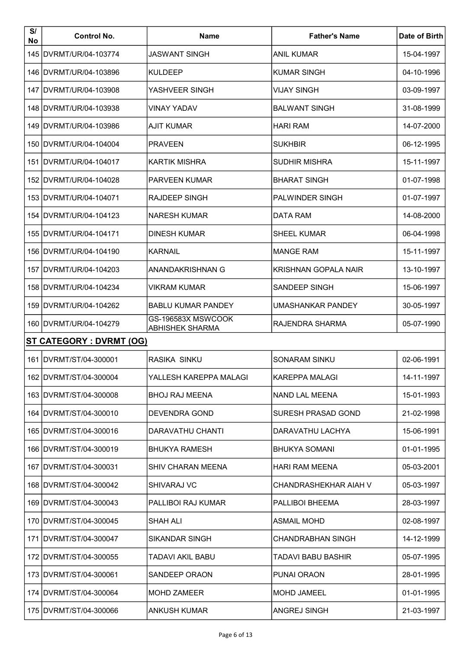| S/<br>No | <b>Control No.</b>              | <b>Name</b>                                  | <b>Father's Name</b>      | Date of Birth |
|----------|---------------------------------|----------------------------------------------|---------------------------|---------------|
|          | 145   DVRMT/UR/04-103774        | <b>JASWANT SINGH</b>                         | <b>ANIL KUMAR</b>         | 15-04-1997    |
|          | 146 DVRMT/UR/04-103896          | <b>KULDEEP</b>                               | <b>KUMAR SINGH</b>        | 04-10-1996    |
|          | 147   DVRMT/UR/04-103908        | YASHVEER SINGH                               | <b>VIJAY SINGH</b>        | 03-09-1997    |
|          | 148 DVRMT/UR/04-103938          | <b>VINAY YADAV</b>                           | <b>BALWANT SINGH</b>      | 31-08-1999    |
|          | 149 DVRMT/UR/04-103986          | <b>AJIT KUMAR</b>                            | <b>HARI RAM</b>           | 14-07-2000    |
|          | 150 DVRMT/UR/04-104004          | <b>PRAVEEN</b>                               | <b>SUKHBIR</b>            | 06-12-1995    |
|          | 151 IDVRMT/UR/04-104017         | KARTIK MISHRA                                | <b>SUDHIR MISHRA</b>      | 15-11-1997    |
|          | 152 DVRMT/UR/04-104028          | <b>PARVEEN KUMAR</b>                         | <b>BHARAT SINGH</b>       | 01-07-1998    |
|          | 153 DVRMT/UR/04-104071          | <b>RAJDEEP SINGH</b>                         | <b>PALWINDER SINGH</b>    | 01-07-1997    |
|          | 154 DVRMT/UR/04-104123          | <b>NARESH KUMAR</b>                          | DATA RAM                  | 14-08-2000    |
|          | 155 DVRMT/UR/04-104171          | <b>DINESH KUMAR</b>                          | <b>SHEEL KUMAR</b>        | 06-04-1998    |
|          | 156 DVRMT/UR/04-104190          | <b>KARNAIL</b>                               | <b>MANGE RAM</b>          | 15-11-1997    |
|          | 157 IDVRMT/UR/04-104203         | ANANDAKRISHNAN G                             | KRISHNAN GOPALA NAIR      | 13-10-1997    |
|          | 158   DVRMT/UR/04-104234        | <b>VIKRAM KUMAR</b>                          | <b>SANDEEP SINGH</b>      | 15-06-1997    |
|          | 159   DVRMT/UR/04-104262        | <b>BABLU KUMAR PANDEY</b>                    | UMASHANKAR PANDEY         | 30-05-1997    |
|          | 160   DVRMT/UR/04-104279        | GS-196583X MSWCOOK<br><b>ABHISHEK SHARMA</b> | <b>RAJENDRA SHARMA</b>    | 05-07-1990    |
|          | <b>ST CATEGORY : DVRMT (OG)</b> |                                              |                           |               |
|          | 161 DVRMT/ST/04-300001          | <b>RASIKA SINKU</b>                          | <b>SONARAM SINKU</b>      | 02-06-1991    |
|          | 162   DVRMT/ST/04-300004        | YALLESH KAREPPA MALAGI                       | <b>KAREPPA MALAGI</b>     | 14-11-1997    |
|          | 163 DVRMT/ST/04-300008          | <b>BHOJ RAJ MEENA</b>                        | NAND LAL MEENA            | 15-01-1993    |
|          | 164   DVRMT/ST/04-300010        | <b>DEVENDRA GOND</b>                         | SURESH PRASAD GOND        | 21-02-1998    |
|          | 165   DVRMT/ST/04-300016        | DARAVATHU CHANTI                             | DARAVATHU LACHYA          | 15-06-1991    |
|          | 166   DVRMT/ST/04-300019        | <b>BHUKYA RAMESH</b>                         | <b>BHUKYA SOMANI</b>      | 01-01-1995    |
|          | 167   DVRMT/ST/04-300031        | SHIV CHARAN MEENA                            | <b>HARI RAM MEENA</b>     | 05-03-2001    |
|          | 168   DVRMT/ST/04-300042        | <b>SHIVARAJ VC</b>                           | CHANDRASHEKHAR AIAH V     | 05-03-1997    |
|          | 169   DVRMT/ST/04-300043        | <b>PALLIBOI RAJ KUMAR</b>                    | PALLIBOI BHEEMA           | 28-03-1997    |
|          | 170   DVRMT/ST/04-300045        | SHAH ALI                                     | <b>ASMAIL MOHD</b>        | 02-08-1997    |
|          | 171   DVRMT/ST/04-300047        | SIKANDAR SINGH                               | <b>CHANDRABHAN SINGH</b>  | 14-12-1999    |
|          | 172   DVRMT/ST/04-300055        | TADAVI AKIL BABU                             | <b>TADAVI BABU BASHIR</b> | 05-07-1995    |
|          | 173   DVRMT/ST/04-300061        | <b>SANDEEP ORAON</b>                         | PUNAI ORAON               | 28-01-1995    |
|          | 174   DVRMT/ST/04-300064        | <b>MOHD ZAMEER</b>                           | MOHD JAMEEL               | 01-01-1995    |
|          | 175   DVRMT/ST/04-300066        | <b>ANKUSH KUMAR</b>                          | ANGREJ SINGH              | 21-03-1997    |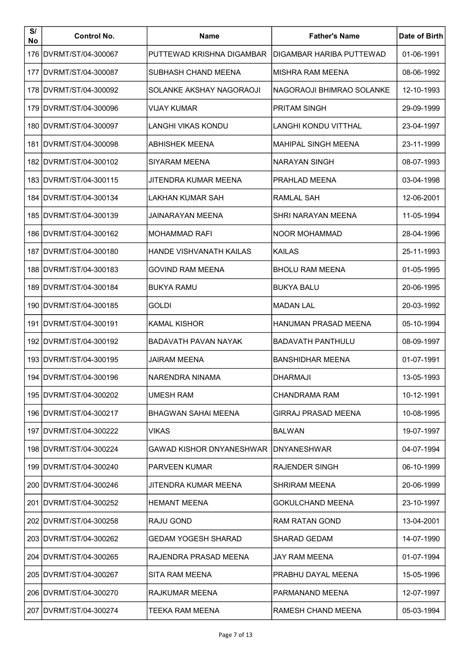| S/<br>No | <b>Control No.</b>       | Name                            | <b>Father's Name</b>        | Date of Birth |
|----------|--------------------------|---------------------------------|-----------------------------|---------------|
|          | 176   DVRMT/ST/04-300067 | PUTTEWAD KRISHNA DIGAMBAR       | IDIGAMBAR HARIBA PUTTEWAD   | 01-06-1991    |
|          | 177   DVRMT/ST/04-300087 | SUBHASH CHAND MEENA             | MISHRA RAM MEENA            | 08-06-1992    |
|          | 178 IDVRMT/ST/04-300092  | SOLANKE AKSHAY NAGORAOJI        | NAGORAOJI BHIMRAO SOLANKE   | 12-10-1993    |
|          | 179   DVRMT/ST/04-300096 | VIJAY KUMAR                     | <b>PRITAM SINGH</b>         | 29-09-1999    |
|          | 180 DVRMT/ST/04-300097   | LANGHI VIKAS KONDU              | <b>LANGHI KONDU VITTHAL</b> | 23-04-1997    |
|          | 181 IDVRMT/ST/04-300098  | <b>ABHISHEK MEENA</b>           | MAHIPAL SINGH MEENA         | 23-11-1999    |
|          | 182   DVRMT/ST/04-300102 | SIYARAM MEENA                   | <b>NARAYAN SINGH</b>        | 08-07-1993    |
|          | 183 DVRMT/ST/04-300115   | JITENDRA KUMAR MEENA            | <b>PRAHLAD MEENA</b>        | 03-04-1998    |
|          | 184   DVRMT/ST/04-300134 | <b>LAKHAN KUMAR SAH</b>         | <b>RAMLAL SAH</b>           | 12-06-2001    |
|          | 185 DVRMT/ST/04-300139   | JAINARAYAN MEENA                | <b>SHRI NARAYAN MEENA</b>   | 11-05-1994    |
|          | 186   DVRMT/ST/04-300162 | <b>MOHAMMAD RAFI</b>            | NOOR MOHAMMAD               | 28-04-1996    |
|          | 187 IDVRMT/ST/04-300180  | <b>HANDE VISHVANATH KAILAS</b>  | KAILAS                      | 25-11-1993    |
|          | 188 IDVRMT/ST/04-300183  | <b>GOVIND RAM MEENA</b>         | <b>BHOLU RAM MEENA</b>      | 01-05-1995    |
|          | 189 IDVRMT/ST/04-300184  | <b>BUKYA RAMU</b>               | <b>BUKYA BALU</b>           | 20-06-1995    |
|          | 190   DVRMT/ST/04-300185 | GOLDI                           | <b>MADAN LAL</b>            | 20-03-1992    |
|          | 191 DVRMT/ST/04-300191   | <b>KAMAL KISHOR</b>             | HANUMAN PRASAD MEENA        | 05-10-1994    |
|          | 192   DVRMT/ST/04-300192 | BADAVATH PAVAN NAYAK            | <b>BADAVATH PANTHULU</b>    | 08-09-1997    |
|          | 193 IDVRMT/ST/04-300195  | <b>JAIRAM MEENA</b>             | <b>BANSHIDHAR MEENA</b>     | 01-07-1991    |
|          | 194 DVRMT/ST/04-300196   | NARENDRA NINAMA                 | <b>DHARMAJI</b>             | 13-05-1993    |
|          | 195   DVRMT/ST/04-300202 | <b>UMESH RAM</b>                | <b>CHANDRAMA RAM</b>        | 10-12-1991    |
|          | 196   DVRMT/ST/04-300217 | <b>BHAGWAN SAHAI MEENA</b>      | <b>GIRRAJ PRASAD MEENA</b>  | 10-08-1995    |
|          | 197   DVRMT/ST/04-300222 | <b>VIKAS</b>                    | <b>BALWAN</b>               | 19-07-1997    |
|          | 198   DVRMT/ST/04-300224 | <b>GAWAD KISHOR DNYANESHWAR</b> | IDNYANESHWAR                | 04-07-1994    |
|          | 199 DVRMT/ST/04-300240   | <b>PARVEEN KUMAR</b>            | <b>RAJENDER SINGH</b>       | 06-10-1999    |
|          | 200 DVRMT/ST/04-300246   | JITENDRA KUMAR MEENA            | <b>SHRIRAM MEENA</b>        | 20-06-1999    |
|          | 201   DVRMT/ST/04-300252 | <b>HEMANT MEENA</b>             | <b>GOKULCHAND MEENA</b>     | 23-10-1997    |
|          | 202   DVRMT/ST/04-300258 | <b>RAJU GOND</b>                | <b>RAM RATAN GOND</b>       | 13-04-2001    |
|          | 203   DVRMT/ST/04-300262 | <b>GEDAM YOGESH SHARAD</b>      | <b>SHARAD GEDAM</b>         | 14-07-1990    |
|          | 204   DVRMT/ST/04-300265 | RAJENDRA PRASAD MEENA           | <b>JAY RAM MEENA</b>        | 01-07-1994    |
|          | 205 IDVRMT/ST/04-300267  | SITA RAM MEENA                  | PRABHU DAYAL MEENA          | 15-05-1996    |
|          | 206   DVRMT/ST/04-300270 | RAJKUMAR MEENA                  | PARMANAND MEENA             | 12-07-1997    |
|          | 207   DVRMT/ST/04-300274 | TEEKA RAM MEENA                 | RAMESH CHAND MEENA          | 05-03-1994    |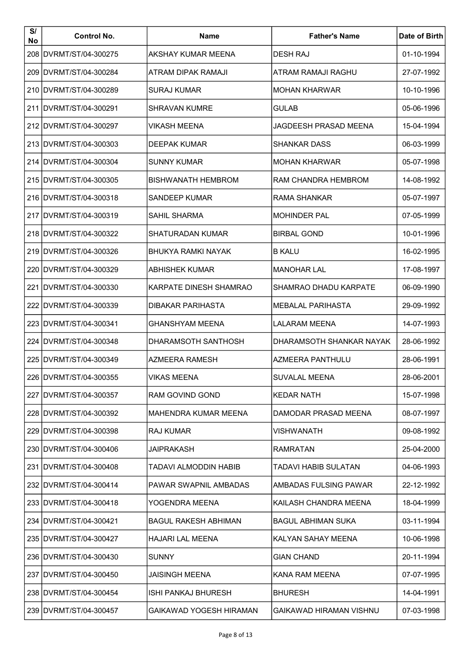| S/<br>No | <b>Control No.</b>       | <b>Name</b>                   | <b>Father's Name</b>         | Date of Birth |
|----------|--------------------------|-------------------------------|------------------------------|---------------|
|          | 208 DVRMT/ST/04-300275   | AKSHAY KUMAR MEENA            | <b>DESH RAJ</b>              | 01-10-1994    |
|          | 209 DVRMT/ST/04-300284   | ATRAM DIPAK RAMAJI            | ATRAM RAMAJI RAGHU           | 27-07-1992    |
|          | 210 DVRMT/ST/04-300289   | <b>SURAJ KUMAR</b>            | <b>MOHAN KHARWAR</b>         | 10-10-1996    |
|          | 211 IDVRMT/ST/04-300291  | <b>SHRAVAN KUMRE</b>          | <b>GULAB</b>                 | 05-06-1996    |
|          | 212 DVRMT/ST/04-300297   | VIKASH MEENA                  | JAGDEESH PRASAD MEENA        | 15-04-1994    |
|          | 213 IDVRMT/ST/04-300303  | DEEPAK KUMAR                  | <b>SHANKAR DASS</b>          | 06-03-1999    |
|          | 214 IDVRMT/ST/04-300304  | <b>SUNNY KUMAR</b>            | <b>MOHAN KHARWAR</b>         | 05-07-1998    |
|          | 215 DVRMT/ST/04-300305   | <b>BISHWANATH HEMBROM</b>     | RAM CHANDRA HEMBROM          | 14-08-1992    |
|          | 216 DVRMT/ST/04-300318   | SANDEEP KUMAR                 | RAMA SHANKAR                 | 05-07-1997    |
|          | 217 IDVRMT/ST/04-300319  | <b>SAHIL SHARMA</b>           | <b>MOHINDER PAL</b>          | 07-05-1999    |
|          | 218 IDVRMT/ST/04-300322  | <b>SHATURADAN KUMAR</b>       | <b>BIRBAL GOND</b>           | 10-01-1996    |
|          | 219 IDVRMT/ST/04-300326  | <b>BHUKYA RAMKI NAYAK</b>     | <b>B KALU</b>                | 16-02-1995    |
|          | 220 DVRMT/ST/04-300329   | <b>ABHISHEK KUMAR</b>         | <b>MANOHAR LAL</b>           | 17-08-1997    |
|          | 221 DVRMT/ST/04-300330   | <b>KARPATE DINESH SHAMRAO</b> | <b>SHAMRAO DHADU KARPATE</b> | 06-09-1990    |
|          | 222   DVRMT/ST/04-300339 | <b>DIBAKAR PARIHASTA</b>      | <b>MEBALAL PARIHASTA</b>     | 29-09-1992    |
|          | 223 DVRMT/ST/04-300341   | <b>GHANSHYAM MEENA</b>        | <b>LALARAM MEENA</b>         | 14-07-1993    |
|          | 224 DVRMT/ST/04-300348   | DHARAMSOTH SANTHOSH           | DHARAMSOTH SHANKAR NAYAK     | 28-06-1992    |
|          | 225 DVRMT/ST/04-300349   | <b>AZMEERA RAMESH</b>         | <b>AZMEERA PANTHULU</b>      | 28-06-1991    |
|          | 226 DVRMT/ST/04-300355   | <b>VIKAS MEENA</b>            | <b>SUVALAL MEENA</b>         | 28-06-2001    |
|          | 227 DVRMT/ST/04-300357   | <b>RAM GOVIND GOND</b>        | <b>KEDAR NATH</b>            | 15-07-1998    |
|          | 228   DVRMT/ST/04-300392 | MAHENDRA KUMAR MEENA          | DAMODAR PRASAD MEENA         | 08-07-1997    |
|          | 229 DVRMT/ST/04-300398   | <b>RAJ KUMAR</b>              | VISHWANATH                   | 09-08-1992    |
|          | 230   DVRMT/ST/04-300406 | JAIPRAKASH                    | <b>RAMRATAN</b>              | 25-04-2000    |
|          | 231 DVRMT/ST/04-300408   | TADAVI ALMODDIN HABIB         | TADAVI HABIB SULATAN         | 04-06-1993    |
|          | 232   DVRMT/ST/04-300414 | PAWAR SWAPNIL AMBADAS         | AMBADAS FULSING PAWAR        | 22-12-1992    |
|          | 233   DVRMT/ST/04-300418 | YOGENDRA MEENA                | KAILASH CHANDRA MEENA        | 18-04-1999    |
|          | 234   DVRMT/ST/04-300421 | <b>BAGUL RAKESH ABHIMAN</b>   | <b>BAGUL ABHIMAN SUKA</b>    | 03-11-1994    |
|          | 235   DVRMT/ST/04-300427 | <b>HAJARI LAL MEENA</b>       | KALYAN SAHAY MEENA           | 10-06-1998    |
|          | 236   DVRMT/ST/04-300430 | <b>SUNNY</b>                  | <b>GIAN CHAND</b>            | 20-11-1994    |
|          | 237 IDVRMT/ST/04-300450  | JAISINGH MEENA                | KANA RAM MEENA               | 07-07-1995    |
|          | 238   DVRMT/ST/04-300454 | ISHI PANKAJ BHURESH           | <b>BHURESH</b>               | 14-04-1991    |
|          | 239   DVRMT/ST/04-300457 | GAIKAWAD YOGESH HIRAMAN       | GAIKAWAD HIRAMAN VISHNU      | 07-03-1998    |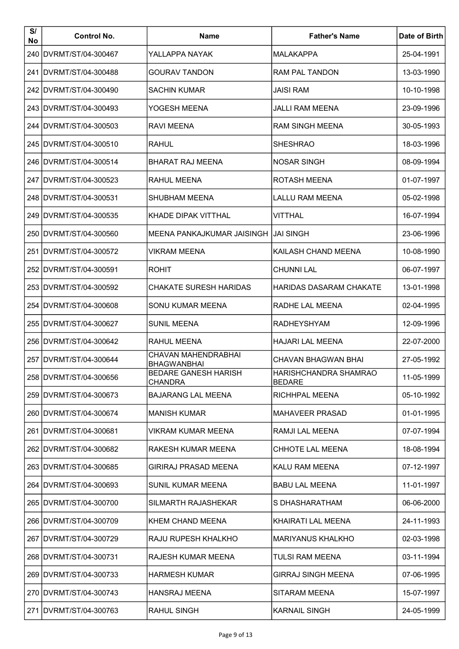| S/<br>No | <b>Control No.</b>       | <b>Name</b>                                   | <b>Father's Name</b>                          | Date of Birth |
|----------|--------------------------|-----------------------------------------------|-----------------------------------------------|---------------|
|          | 240   DVRMT/ST/04-300467 | YALLAPPA NAYAK                                | <b>MALAKAPPA</b>                              | 25-04-1991    |
|          | 241 DVRMT/ST/04-300488   | <b>GOURAV TANDON</b>                          | <b>RAM PAL TANDON</b>                         | 13-03-1990    |
|          | 242 DVRMT/ST/04-300490   | <b>SACHIN KUMAR</b>                           | <b>JAISI RAM</b>                              | 10-10-1998    |
|          | 243   DVRMT/ST/04-300493 | YOGESH MEENA                                  | JALLI RAM MEENA                               | 23-09-1996    |
|          | 244 IDVRMT/ST/04-300503  | <b>RAVI MEENA</b>                             | <b>RAM SINGH MEENA</b>                        | 30-05-1993    |
|          | 245 IDVRMT/ST/04-300510  | <b>RAHUL</b>                                  | <b>SHESHRAO</b>                               | 18-03-1996    |
|          | 246 IDVRMT/ST/04-300514  | <b>BHARAT RAJ MEENA</b>                       | <b>NOSAR SINGH</b>                            | 08-09-1994    |
|          | 247   DVRMT/ST/04-300523 | <b>RAHUL MEENA</b>                            | ROTASH MEENA                                  | 01-07-1997    |
|          | 248 DVRMT/ST/04-300531   | <b>SHUBHAM MEENA</b>                          | <b>LALLU RAM MEENA</b>                        | 05-02-1998    |
|          | 249   DVRMT/ST/04-300535 | <b>KHADE DIPAK VITTHAL</b>                    | VITTHAL                                       | 16-07-1994    |
|          | 250   DVRMT/ST/04-300560 | MEENA PANKAJKUMAR JAISINGH                    | JAI SINGH                                     | 23-06-1996    |
|          | 251   DVRMT/ST/04-300572 | VIKRAM MEENA                                  | KAILASH CHAND MEENA                           | 10-08-1990    |
|          | 252   DVRMT/ST/04-300591 | ROHIT                                         | <b>CHUNNI LAL</b>                             | 06-07-1997    |
|          | 253 DVRMT/ST/04-300592   | <b>CHAKATE SURESH HARIDAS</b>                 | <b>HARIDAS DASARAM CHAKATE</b>                | 13-01-1998    |
|          | 254   DVRMT/ST/04-300608 | SONU KUMAR MEENA                              | RADHE LAL MEENA                               | 02-04-1995    |
|          | 255 DVRMT/ST/04-300627   | <b>SUNIL MEENA</b>                            | <b>RADHEYSHYAM</b>                            | 12-09-1996    |
|          | 256 DVRMT/ST/04-300642   | <b>RAHUL MEENA</b>                            | <b>HAJARI LAL MEENA</b>                       | 22-07-2000    |
|          | 257 DVRMT/ST/04-300644   | CHAVAN MAHENDRABHAI<br><b>BHAGWANBHAI</b>     | <b>CHAVAN BHAGWAN BHAI</b>                    | 27-05-1992    |
|          | 258 DVRMT/ST/04-300656   | <b>BEDARE GANESH HARISH</b><br><b>CHANDRA</b> | <b>HARISHCHANDRA SHAMRAO</b><br><b>BEDARE</b> | 11-05-1999    |
|          | 259 DVRMT/ST/04-300673   | <b>BAJARANG LAL MEENA</b>                     | RICHHPAL MEENA                                | 05-10-1992    |
|          | 260   DVRMT/ST/04-300674 | <b>MANISH KUMAR</b>                           | <b>MAHAVEER PRASAD</b>                        | 01-01-1995    |
|          | 261   DVRMT/ST/04-300681 | VIKRAM KUMAR MEENA                            | RAMJI LAL MEENA                               | 07-07-1994    |
|          | 262   DVRMT/ST/04-300682 | RAKESH KUMAR MEENA                            | <b>CHHOTE LAL MEENA</b>                       | 18-08-1994    |
|          | 263 DVRMT/ST/04-300685   | <b>GIRIRAJ PRASAD MEENA</b>                   | KALU RAM MEENA                                | 07-12-1997    |
|          | 264   DVRMT/ST/04-300693 | <b>SUNIL KUMAR MEENA</b>                      | <b>BABU LAL MEENA</b>                         | 11-01-1997    |
|          | 265   DVRMT/ST/04-300700 | SILMARTH RAJASHEKAR                           | S DHASHARATHAM                                | 06-06-2000    |
|          | 266 DVRMT/ST/04-300709   | KHEM CHAND MEENA                              | KHAIRATI LAL MEENA                            | 24-11-1993    |
|          | 267   DVRMT/ST/04-300729 | RAJU RUPESH KHALKHO                           | <b>MARIYANUS KHALKHO</b>                      | 02-03-1998    |
|          | 268 IDVRMT/ST/04-300731  | RAJESH KUMAR MEENA                            | TULSI RAM MEENA                               | 03-11-1994    |
|          | 269 IDVRMT/ST/04-300733  | <b>HARMESH KUMAR</b>                          | <b>GIRRAJ SINGH MEENA</b>                     | 07-06-1995    |
|          | 270   DVRMT/ST/04-300743 | <b>HANSRAJ MEENA</b>                          | SITARAM MEENA                                 | 15-07-1997    |
|          | 271   DVRMT/ST/04-300763 | RAHUL SINGH                                   | <b>KARNAIL SINGH</b>                          | 24-05-1999    |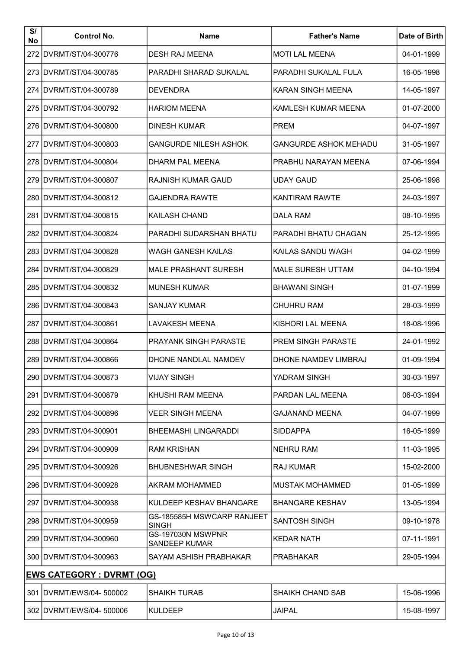| S/<br>No | <b>Control No.</b>               | <b>Name</b>                                | <b>Father's Name</b>         | Date of Birth |
|----------|----------------------------------|--------------------------------------------|------------------------------|---------------|
| 272      | DVRMT/ST/04-300776               | <b>DESH RAJ MEENA</b>                      | <b>MOTI LAL MEENA</b>        | 04-01-1999    |
|          | 273 IDVRMT/ST/04-300785          | PARADHI SHARAD SUKALAL                     | PARADHI SUKALAL FULA         | 16-05-1998    |
|          | 274 IDVRMT/ST/04-300789          | <b>DEVENDRA</b>                            | KARAN SINGH MEENA            | 14-05-1997    |
|          | 275 IDVRMT/ST/04-300792          | <b>HARIOM MEENA</b>                        | KAMLESH KUMAR MEENA          | 01-07-2000    |
|          | 276 IDVRMT/ST/04-300800          | <b>DINESH KUMAR</b>                        | <b>PREM</b>                  | 04-07-1997    |
|          | 277 IDVRMT/ST/04-300803          | <b>GANGURDE NILESH ASHOK</b>               | <b>GANGURDE ASHOK MEHADU</b> | 31-05-1997    |
|          | 278 IDVRMT/ST/04-300804          | DHARM PAL MEENA                            | PRABHU NARAYAN MEENA         | 07-06-1994    |
|          | 279 IDVRMT/ST/04-300807          | RAJNISH KUMAR GAUD                         | <b>UDAY GAUD</b>             | 25-06-1998    |
|          | 280 IDVRMT/ST/04-300812          | <b>GAJENDRA RAWTE</b>                      | <b>KANTIRAM RAWTE</b>        | 24-03-1997    |
|          | 281 IDVRMT/ST/04-300815          | <b>KAILASH CHAND</b>                       | <b>DALA RAM</b>              | 08-10-1995    |
|          | 282 DVRMT/ST/04-300824           | PARADHI SUDARSHAN BHATU                    | PARADHI BHATU CHAGAN         | 25-12-1995    |
|          | 283 IDVRMT/ST/04-300828          | WAGH GANESH KAILAS                         | KAILAS SANDU WAGH            | 04-02-1999    |
|          | 284 DVRMT/ST/04-300829           | <b>MALE PRASHANT SURESH</b>                | <b>MALE SURESH UTTAM</b>     | 04-10-1994    |
|          | 285 IDVRMT/ST/04-300832          | <b>MUNESH KUMAR</b>                        | <b>BHAWANI SINGH</b>         | 01-07-1999    |
|          | 286 DVRMT/ST/04-300843           | SANJAY KUMAR                               | <b>CHUHRU RAM</b>            | 28-03-1999    |
|          | 287   DVRMT/ST/04-300861         | LAVAKESH MEENA                             | KISHORI LAL MEENA            | 18-08-1996    |
|          | 288 DVRMT/ST/04-300864           | PRAYANK SINGH PARASTE                      | <b>PREM SINGH PARASTE</b>    | 24-01-1992    |
|          | 289 DVRMT/ST/04-300866           | DHONE NANDLAL NAMDEV                       | DHONE NAMDEV LIMBRAJ         | 01-09-1994    |
|          | 290 DVRMT/ST/04-300873           | <b>VIJAY SINGH</b>                         | YADRAM SINGH                 | 30-03-1997    |
|          | 291   DVRMT/ST/04-300879         | KHUSHI RAM MEENA                           | PARDAN LAL MEENA             | 06-03-1994    |
|          | 292 DVRMT/ST/04-300896           | <b>VEER SINGH MEENA</b>                    | <b>GAJANAND MEENA</b>        | 04-07-1999    |
|          | 293   DVRMT/ST/04-300901         | <b>BHEEMASHI LINGARADDI</b>                | <b>SIDDAPPA</b>              | 16-05-1999    |
|          | 294   DVRMT/ST/04-300909         | <b>RAM KRISHAN</b>                         | <b>NEHRU RAM</b>             | 11-03-1995    |
|          | 295   DVRMT/ST/04-300926         | <b>BHUBNESHWAR SINGH</b>                   | <b>RAJ KUMAR</b>             | 15-02-2000    |
|          | 296   DVRMT/ST/04-300928         | AKRAM MOHAMMED                             | <b>MUSTAK MOHAMMED</b>       | 01-05-1999    |
|          | 297   DVRMT/ST/04-300938         | KULDEEP KESHAV BHANGARE                    | <b>BHANGARE KESHAV</b>       | 13-05-1994    |
|          | 298   DVRMT/ST/04-300959         | GS-185585H MSWCARP RANJEET<br><b>SINGH</b> | <b>SANTOSH SINGH</b>         | 09-10-1978    |
|          | 299 DVRMT/ST/04-300960           | GS-197030N MSWPNR<br><b>SANDEEP KUMAR</b>  | <b>KEDAR NATH</b>            | 07-11-1991    |
|          | 300 IDVRMT/ST/04-300963          | SAYAM ASHISH PRABHAKAR                     | <b>PRABHAKAR</b>             | 29-05-1994    |
|          | <b>EWS CATEGORY : DVRMT (OG)</b> |                                            |                              |               |
|          | 301   DVRMT/EWS/04- 500002       | <b>SHAIKH TURAB</b>                        | SHAIKH CHAND SAB             | 15-06-1996    |
|          | 302 DVRMT/EWS/04-500006          | <b>KULDEEP</b>                             | <b>JAIPAL</b>                | 15-08-1997    |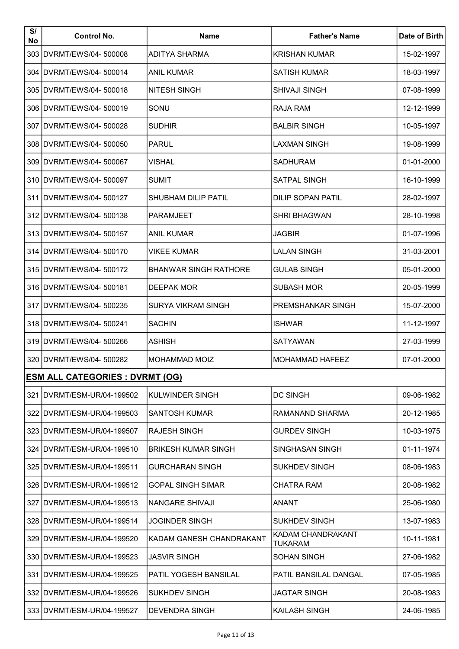| S/<br>No | <b>Control No.</b>                     | <b>Name</b>                  | <b>Father's Name</b>                | Date of Birth |
|----------|----------------------------------------|------------------------------|-------------------------------------|---------------|
|          | 303 DVRMT/EWS/04-500008                | <b>ADITYA SHARMA</b>         | <b>KRISHAN KUMAR</b>                | 15-02-1997    |
|          | 304 IDVRMT/EWS/04-500014               | <b>ANIL KUMAR</b>            | <b>SATISH KUMAR</b>                 | 18-03-1997    |
|          | 305 DVRMT/EWS/04- 500018               | <b>NITESH SINGH</b>          | <b>SHIVAJI SINGH</b>                | 07-08-1999    |
|          | 306 DVRMT/EWS/04- 500019               | SONU                         | RAJA RAM                            | 12-12-1999    |
|          | 307 IDVRMT/EWS/04- 500028              | <b>SUDHIR</b>                | <b>BALBIR SINGH</b>                 | 10-05-1997    |
|          | 308 DVRMT/EWS/04- 500050               | PARUL                        | <b>LAXMAN SINGH</b>                 | 19-08-1999    |
|          | 309 IDVRMT/EWS/04-500067               | VISHAL                       | <b>SADHURAM</b>                     | 01-01-2000    |
|          | 310 DVRMT/EWS/04-500097                | <b>SUMIT</b>                 | <b>SATPAL SINGH</b>                 | 16-10-1999    |
|          | 311 DVRMT/EWS/04-500127                | <b>SHUBHAM DILIP PATIL</b>   | <b>DILIP SOPAN PATIL</b>            | 28-02-1997    |
|          | 312 DVRMT/EWS/04- 500138               | <b>PARAMJEET</b>             | <b>SHRI BHAGWAN</b>                 | 28-10-1998    |
|          | 313 DVRMT/EWS/04-500157                | <b>ANIL KUMAR</b>            | <b>JAGBIR</b>                       | 01-07-1996    |
|          | 314 DVRMT/EWS/04- 500170               | <b>VIKEE KUMAR</b>           | <b>LALAN SINGH</b>                  | 31-03-2001    |
|          | 315 DVRMT/EWS/04- 500172               | <b>BHANWAR SINGH RATHORE</b> | <b>GULAB SINGH</b>                  | 05-01-2000    |
|          | 316 DVRMT/EWS/04- 500181               | <b>DEEPAK MOR</b>            | <b>SUBASH MOR</b>                   | 20-05-1999    |
|          | 317   DVRMT/EWS/04- 500235             | <b>SURYA VIKRAM SINGH</b>    | PREMSHANKAR SINGH                   | 15-07-2000    |
|          | 318 DVRMT/EWS/04- 500241               | <b>SACHIN</b>                | ISHWAR                              | 11-12-1997    |
|          | 319 DVRMT/EWS/04- 500266               | <b>ASHISH</b>                | <b>SATYAWAN</b>                     | 27-03-1999    |
|          | 320 DVRMT/EWS/04- 500282               | <b>MOHAMMAD MOIZ</b>         | <b>MOHAMMAD HAFEEZ</b>              | 07-01-2000    |
|          | <b>ESM ALL CATEGORIES : DVRMT (OG)</b> |                              |                                     |               |
|          | 321   DVRMT/ESM-UR/04-199502           | <b>KULWINDER SINGH</b>       | <b>DC SINGH</b>                     | 09-06-1982    |
|          | 322 DVRMT/ESM-UR/04-199503             | <b>SANTOSH KUMAR</b>         | RAMANAND SHARMA                     | 20-12-1985    |
|          | 323 IDVRMT/ESM-UR/04-199507            | <b>RAJESH SINGH</b>          | <b>GURDEV SINGH</b>                 | 10-03-1975    |
|          | 324   DVRMT/ESM-UR/04-199510           | <b>BRIKESH KUMAR SINGH</b>   | SINGHASAN SINGH                     | 01-11-1974    |
|          | 325   DVRMT/ESM-UR/04-199511           | <b>GURCHARAN SINGH</b>       | <b>SUKHDEV SINGH</b>                | 08-06-1983    |
|          | 326   DVRMT/ESM-UR/04-199512           | <b>GOPAL SINGH SIMAR</b>     | <b>CHATRA RAM</b>                   | 20-08-1982    |
|          | 327   DVRMT/ESM-UR/04-199513           | NANGARE SHIVAJI              | <b>ANANT</b>                        | 25-06-1980    |
|          | 328   DVRMT/ESM-UR/04-199514           | JOGINDER SINGH               | <b>SUKHDEV SINGH</b>                | 13-07-1983    |
|          | 329 IDVRMT/ESM-UR/04-199520            | KADAM GANESH CHANDRAKANT     | KADAM CHANDRAKANT<br><b>TUKARAM</b> | 10-11-1981    |
|          | 330   DVRMT/ESM-UR/04-199523           | <b>JASVIR SINGH</b>          | <b>SOHAN SINGH</b>                  | 27-06-1982    |
|          | 331 IDVRMT/ESM-UR/04-199525            | PATIL YOGESH BANSILAL        | PATIL BANSILAL DANGAL               | 07-05-1985    |
|          | 332 IDVRMT/ESM-UR/04-199526            | <b>SUKHDEV SINGH</b>         | <b>JAGTAR SINGH</b>                 | 20-08-1983    |
|          | 333   DVRMT/ESM-UR/04-199527           | <b>DEVENDRA SINGH</b>        | KAILASH SINGH                       | 24-06-1985    |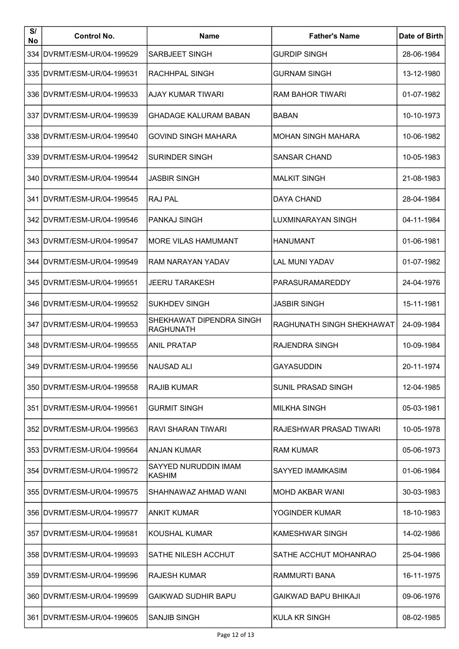| S/<br>No | <b>Control No.</b>           | <b>Name</b>                                  | <b>Father's Name</b>        | Date of Birth |
|----------|------------------------------|----------------------------------------------|-----------------------------|---------------|
|          | 334 DVRMT/ESM-UR/04-199529   | <b>SARBJEET SINGH</b>                        | <b>GURDIP SINGH</b>         | 28-06-1984    |
|          | 335   DVRMT/ESM-UR/04-199531 | <b>RACHHPAL SINGH</b>                        | <b>GURNAM SINGH</b>         | 13-12-1980    |
|          | 336   DVRMT/ESM-UR/04-199533 | AJAY KUMAR TIWARI                            | <b>RAM BAHOR TIWARI</b>     | 01-07-1982    |
|          | 337   DVRMT/ESM-UR/04-199539 | GHADAGE KALURAM BABAN                        | <b>BABAN</b>                | 10-10-1973    |
|          | 338 IDVRMT/ESM-UR/04-199540  | <b>GOVIND SINGH MAHARA</b>                   | MOHAN SINGH MAHARA          | 10-06-1982    |
|          | 339 IDVRMT/ESM-UR/04-199542  | <b>SURINDER SINGH</b>                        | <b>SANSAR CHAND</b>         | 10-05-1983    |
|          | 340   DVRMT/ESM-UR/04-199544 | JASBIR SINGH                                 | <b>MALKIT SINGH</b>         | 21-08-1983    |
|          | 341   DVRMT/ESM-UR/04-199545 | IRAJ PAL                                     | <b>DAYA CHAND</b>           | 28-04-1984    |
|          | 342 DVRMT/ESM-UR/04-199546   | IPANKAJ SINGH                                | LUXMINARAYAN SINGH          | 04-11-1984    |
|          | 343   DVRMT/ESM-UR/04-199547 | <b>IMORE VILAS HAMUMANT</b>                  | <b>HANUMANT</b>             | 01-06-1981    |
|          | 344   DVRMT/ESM-UR/04-199549 | RAM NARAYAN YADAV                            | <b>LAL MUNI YADAV</b>       | 01-07-1982    |
|          | 345   DVRMT/ESM-UR/04-199551 | JEERU TARAKESH                               | PARASURAMAREDDY             | 24-04-1976    |
|          | 346   DVRMT/ESM-UR/04-199552 | <b>SUKHDEV SINGH</b>                         | <b>JASBIR SINGH</b>         | 15-11-1981    |
|          | 347   DVRMT/ESM-UR/04-199553 | SHEKHAWAT DIPENDRA SINGH<br><b>RAGHUNATH</b> | RAGHUNATH SINGH SHEKHAWAT   | 24-09-1984    |
|          | 348   DVRMT/ESM-UR/04-199555 | <b>ANIL PRATAP</b>                           | RAJENDRA SINGH              | 10-09-1984    |
|          | 349   DVRMT/ESM-UR/04-199556 | INAUSAD ALI                                  | <b>GAYASUDDIN</b>           | 20-11-1974    |
|          | 350 IDVRMT/ESM-UR/04-199558  | RAJIB KUMAR                                  | SUNIL PRASAD SINGH          | 12-04-1985    |
|          | 351 IDVRMT/ESM-UR/04-199561  | <b>GURMIT SINGH</b>                          | <b>MILKHA SINGH</b>         | 05-03-1981    |
|          | 352 IDVRMT/ESM-UR/04-199563  | RAVI SHARAN TIWARI                           | RAJESHWAR PRASAD TIWARI     | 10-05-1978    |
|          | 353   DVRMT/ESM-UR/04-199564 | ANJAN KUMAR                                  | <b>RAM KUMAR</b>            | 05-06-1973    |
|          | 354   DVRMT/ESM-UR/04-199572 | <b>SAYYED NURUDDIN IMAM</b><br>KASHIM        | SAYYED IMAMKASIM            | 01-06-1984    |
|          | 355 IDVRMT/ESM-UR/04-199575  | SHAHNAWAZ AHMAD WANI                         | <b>MOHD AKBAR WANI</b>      | 30-03-1983    |
|          | 356 IDVRMT/ESM-UR/04-199577  | <b>ANKIT KUMAR</b>                           | YOGINDER KUMAR              | 18-10-1983    |
|          | 357   DVRMT/ESM-UR/04-199581 | IKOUSHAL KUMAR                               | <b>KAMESHWAR SINGH</b>      | 14-02-1986    |
|          | 358 IDVRMT/ESM-UR/04-199593  | SATHE NILESH ACCHUT                          | SATHE ACCHUT MOHANRAO       | 25-04-1986    |
|          | 359 IDVRMT/ESM-UR/04-199596  | IRAJESH KUMAR                                | RAMMURTI BANA               | 16-11-1975    |
|          | 360 IDVRMT/ESM-UR/04-199599  | <b>GAIKWAD SUDHIR BAPU</b>                   | <b>GAIKWAD BAPU BHIKAJI</b> | 09-06-1976    |
|          | 361   DVRMT/ESM-UR/04-199605 | <b>SANJIB SINGH</b>                          | KULA KR SINGH               | 08-02-1985    |